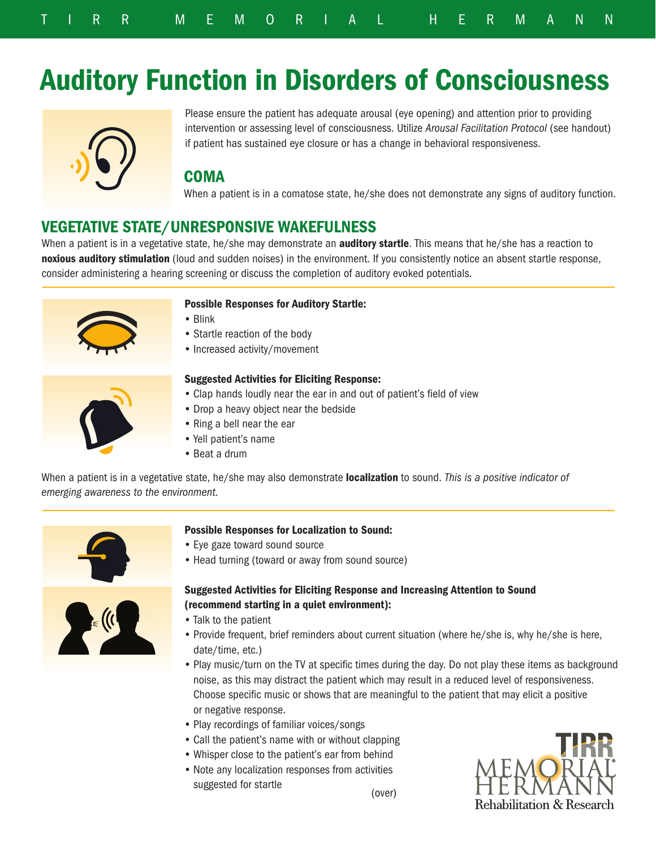# Auditory Function in Disorders of Consciousness



Please ensure the patient has adequate arousal (eye opening) and attention prior to providing intervention or assessing level of consciousness. Utilize *Arousal Facilitation Protocol* (see handout) if patient has sustained eye closure or has a change in behavioral responsiveness.

# **COMA**

When a patient is in a comatose state, he/she does not demonstrate any signs of auditory function.

# VEGETATIVE STATE/UNRESPONSIVE WAKEFULNESS

When a patient is in a vegetative state, he/she may demonstrate an **auditory startle**. This means that he/she has a reaction to noxious auditory stimulation (loud and sudden noises) in the environment. If you consistently notice an absent startle response, consider administering a hearing screening or discuss the completion of auditory evoked potentials.



## Possible Responses for Auditory Startle:

- Blink
- Startle reaction of the body
- Increased activity/movement



#### Suggested Activities for Eliciting Response:

- Clap hands loudly near the ear in and out of patient's field of view
- Drop a heavy object near the bedside
- Ring a bell near the ear
- Yell patient's name
- Beat a drum

When a patient is in a vegetative state, he/she may also demonstrate localization to sound. *This is a positive indicator of emerging awareness to the environment.*



## Possible Responses for Localization to Sound:

- Eye gaze toward sound source
- Head turning (toward or away from sound source)

## Suggested Activities for Eliciting Response and Increasing Attention to Sound (recommend starting in a quiet environment):

- Talk to the patient
- Provide frequent, brief reminders about current situation (where he/she is, why he/she is here, date/time, etc.)
- Play music/turn on the TV at specific times during the day. Do not play these items as background noise, as this may distract the patient which may result in a reduced level of responsiveness. Choose specific music or shows that are meaningful to the patient that may elicit a positive or negative response.
- Play recordings of familiar voices/songs
- Call the patient's name with or without clapping
- Whisper close to the patient's ear from behind
- Note any localization responses from activities suggested for startle